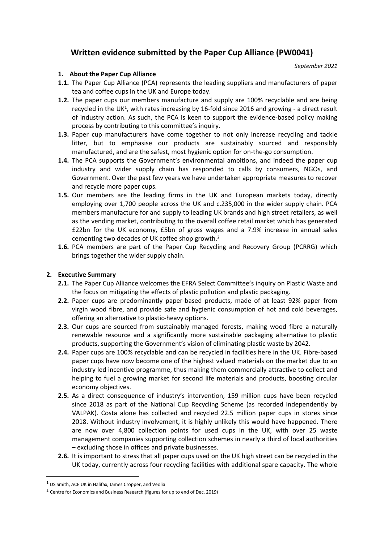## **Written evidence submitted by the Paper Cup Alliance (PW0041)**

*September 2021*

## **1. About the Paper Cup Alliance**

- **1.1.** The Paper Cup Alliance (PCA) represents the leading suppliers and manufacturers of paper tea and coffee cups in the UK and Europe today.
- **1.2.** The paper cups our members manufacture and supply are 100% recyclable and are being recycled in the UK<sup>1</sup>, with rates increasing by 16-fold since 2016 and growing - a direct result of industry action. As such, the PCA is keen to support the evidence-based policy making process by contributing to this committee's inquiry.
- **1.3.** Paper cup manufacturers have come together to not only increase recycling and tackle litter, but to emphasise our products are sustainably sourced and responsibly manufactured, and are the safest, most hygienic option for on-the-go consumption.
- **1.4.** The PCA supports the Government's environmental ambitions, and indeed the paper cup industry and wider supply chain has responded to calls by consumers, NGOs, and Government. Over the past few years we have undertaken appropriate measures to recover and recycle more paper cups.
- **1.5.** Our members are the leading firms in the UK and European markets today, directly employing over 1,700 people across the UK and c.235,000 in the wider supply chain. PCA members manufacture for and supply to leading UK brands and high street retailers, as well as the vending market, contributing to the overall coffee retail market which has generated £22bn for the UK economy, £5bn of gross wages and a 7.9% increase in annual sales cementing two decades of UK coffee shop growth.<sup>2</sup>
- **1.6.** PCA members are part of the Paper Cup Recycling and Recovery Group (PCRRG) which brings together the wider supply chain.

## **2. Executive Summary**

- **2.1.** The Paper Cup Alliance welcomes the EFRA Select Committee's inquiry on Plastic Waste and the focus on mitigating the effects of plastic pollution and plastic packaging.
- **2.2.** Paper cups are predominantly paper-based products, made of at least 92% paper from virgin wood fibre, and provide safe and hygienic consumption of hot and cold beverages, offering an alternative to plastic-heavy options.
- **2.3.** Our cups are sourced from sustainably managed forests, making wood fibre a naturally renewable resource and a significantly more sustainable packaging alternative to plastic products, supporting the Government's vision of eliminating plastic waste by 2042.
- **2.4.** Paper cups are 100% recyclable and can be recycled in facilities here in the UK. Fibre-based paper cups have now become one of the highest valued materials on the market due to an industry led incentive programme, thus making them commercially attractive to collect and helping to fuel a growing market for second life materials and products, boosting circular economy objectives.
- **2.5.** As a direct consequence of industry's intervention, 159 million cups have been recycled since 2018 as part of the National Cup Recycling Scheme (as recorded independently by VALPAK). Costa alone has collected and recycled 22.5 million paper cups in stores since 2018. Without industry involvement, it is highly unlikely this would have happened. There are now over 4,800 collection points for used cups in the UK, with over 25 waste management companies supporting collection schemes in nearly a third of local authorities – excluding those in offices and private businesses.
- **2.6.** It is important to stress that all paper cups used on the UK high street can be recycled in the UK today, currently across four recycling facilities with additional spare capacity. The whole

<sup>1</sup> DS Smith, ACE UK in Halifax, James Cropper, and Veolia

<sup>&</sup>lt;sup>2</sup> Centre for Economics and Business Research (figures for up to end of Dec. 2019)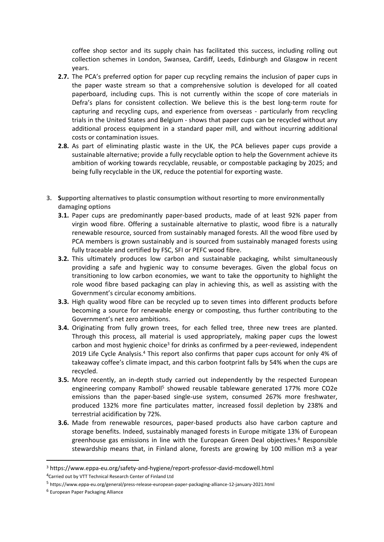coffee shop sector and its supply chain has facilitated this success, including rolling out collection schemes in London, Swansea, Cardiff, Leeds, Edinburgh and Glasgow in recent years.

- **2.7.** The PCA's preferred option for paper cup recycling remains the inclusion of paper cups in the paper waste stream so that a comprehensive solution is developed for all coated paperboard, including cups. This is not currently within the scope of core materials in Defra's plans for consistent collection. We believe this is the best long-term route for capturing and recycling cups, and experience from overseas - particularly from recycling trials in the United States and Belgium - shows that paper cups can be recycled without any additional process equipment in a standard paper mill, and without incurring additional costs or contamination issues.
- **2.8.** As part of eliminating plastic waste in the UK, the PCA believes paper cups provide a sustainable alternative; provide a fully recyclable option to help the Government achieve its ambition of working towards recyclable, reusable, or compostable packaging by 2025; and being fully recyclable in the UK, reduce the potential for exporting waste.
- **3. Supporting alternatives to plastic consumption without resorting to more environmentally damaging options**
	- **3.1.** Paper cups are predominantly paper-based products, made of at least 92% paper from virgin wood fibre. Offering a sustainable alternative to plastic, wood fibre is a naturally renewable resource, sourced from sustainably managed forests. All the wood fibre used by PCA members is grown sustainably and is sourced from sustainably managed forests using fully traceable and certified by FSC, SFI or PEFC wood fibre.
	- **3.2.** This ultimately produces low carbon and sustainable packaging, whilst simultaneously providing a safe and hygienic way to consume beverages. Given the global focus on transitioning to low carbon economies, we want to take the opportunity to highlight the role wood fibre based packaging can play in achieving this, as well as assisting with the Government's circular economy ambitions.
	- **3.3.** High quality wood fibre can be recycled up to seven times into different products before becoming a source for renewable energy or composting, thus further contributing to the Government's net zero ambitions.
	- **3.4.** Originating from fully grown trees, for each felled tree, three new trees are planted. Through this process, all material is used appropriately, making paper cups the lowest carbon and most hygienic choice<sup>3</sup> for drinks as confirmed by a peer-reviewed, independent 2019 Life Cycle Analysis.<sup>4</sup> This report also confirms that paper cups account for only 4% of takeaway coffee's climate impact, and this carbon footprint falls by 54% when the cups are recycled.
	- **3.5.** More recently, an in-depth study carried out independently by the respected European engineering company Ramboll<sup>5</sup> showed reusable tableware generated 177% more CO2e emissions than the paper-based single-use system, consumed 267% more freshwater, produced 132% more fine particulates matter, increased fossil depletion by 238% and terrestrial acidification by 72%.
	- **3.6.** Made from renewable resources, paper-based products also have carbon capture and storage benefits. Indeed, sustainably managed forests in Europe mitigate 13% of European greenhouse gas emissions in line with the European Green Deal objectives.<sup>6</sup> Responsible stewardship means that, in Finland alone, forests are growing by 100 million m3 a year

<sup>3</sup> https://www.eppa-eu.org/safety-and-hygiene/report-professor-david-mcdowell.html

<sup>4</sup>Carried out by VTT Technical Research Center of Finland Ltd

<sup>5</sup> https://www.eppa-eu.org/general/press-release-european-paper-packaging-alliance-12-january-2021.html

<sup>6</sup> European Paper Packaging Alliance